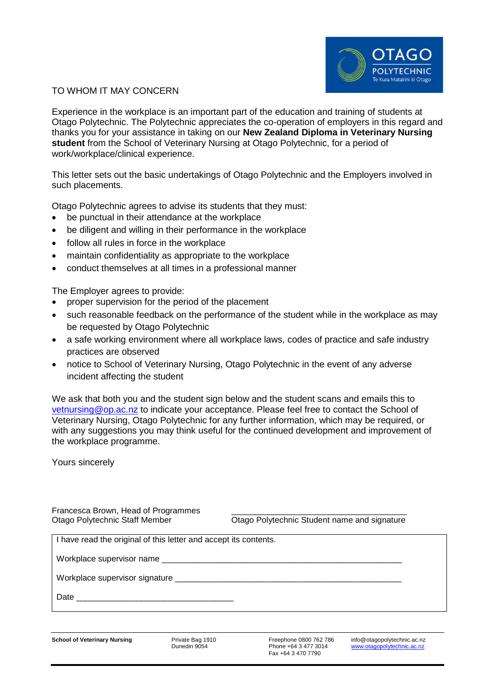

## TO WHOM IT MAY CONCERN

Experience in the workplace is an important part of the education and training of students at Otago Polytechnic. The Polytechnic appreciates the co-operation of employers in this regard and thanks you for your assistance in taking on our **New Zealand Diploma in Veterinary Nursing student** from the School of Veterinary Nursing at Otago Polytechnic, for a period of work/workplace/clinical experience.

This letter sets out the basic undertakings of Otago Polytechnic and the Employers involved in such placements.

Otago Polytechnic agrees to advise its students that they must:

- be punctual in their attendance at the workplace
- be diligent and willing in their performance in the workplace
- follow all rules in force in the workplace
- maintain confidentiality as appropriate to the workplace
- conduct themselves at all times in a professional manner

The Employer agrees to provide:

- proper supervision for the period of the placement
- such reasonable feedback on the performance of the student while in the workplace as may be requested by Otago Polytechnic
- a safe working environment where all workplace laws, codes of practice and safe industry practices are observed
- notice to School of Veterinary Nursing, Otago Polytechnic in the event of any adverse incident affecting the student

We ask that both you and the student sign below and the student scans and emails this to [vetnursing@op.ac.nz](mailto:vetnursing@op.ac.nz) to indicate your acceptance. Please feel free to contact the School of Veterinary Nursing, Otago Polytechnic for any further information, which may be required, or with any suggestions you may think useful for the continued development and improvement of the workplace programme.

Yours sincerely

Francesca Brown, Head of Programmes

Otago Polytechnic Staff Member Otago Polytechnic Student name and signature

I have read the original of this letter and accept its contents.

Workplace supervisor name

Workplace supervisor signature

Date

Fax +64 3 470 7790

**School of Veterinary Nursing** Private Bag 1910 Freephone 0800 762 786 info@otagopolytechnic.ac.nz<br>Dunedin 9054 Phone +64 3 477 3014 www.otagopolytechnic.ac.nz [www.otagopolytechnic.ac.nz](http://www.otagopolytechnic.ac.nz/)